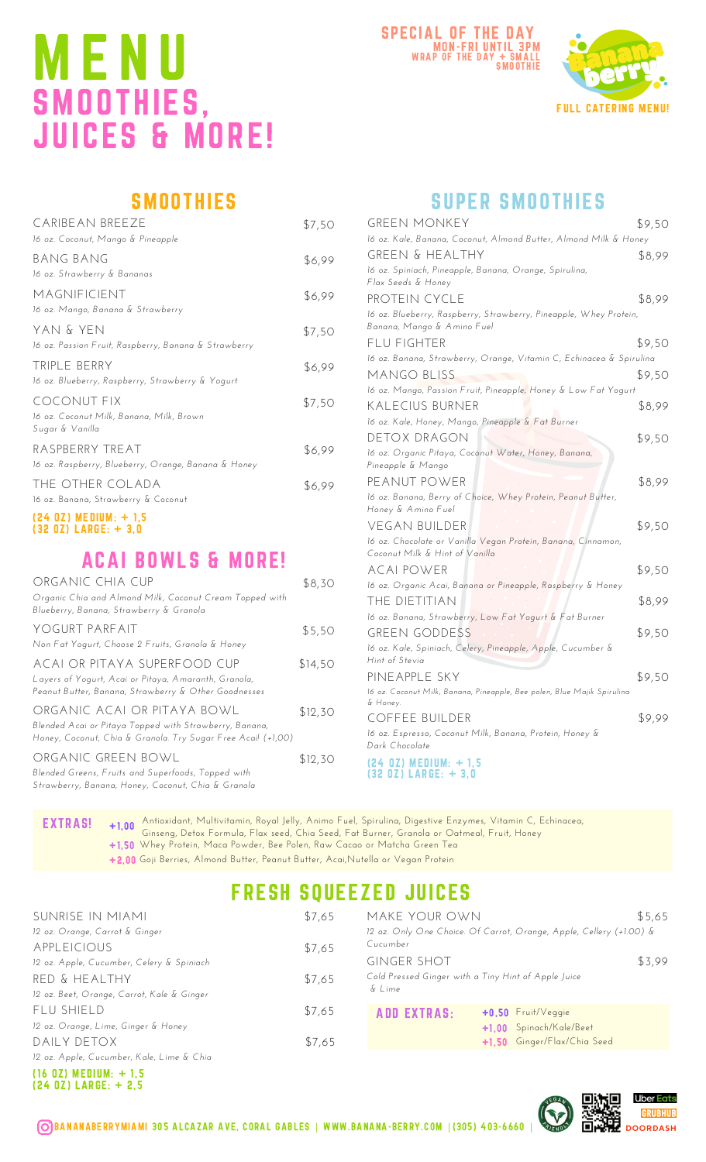# M E N U SMOOTHIES, JUICES & MORE!





## **SMOOTHIES**

| CARIBEAN BREEZE<br>16 oz. Coconut, Mango & Pineapple                       | \$7,50 |
|----------------------------------------------------------------------------|--------|
| BANG BANG<br>16 oz. Strawberry & Bananas                                   | \$6,99 |
| MAGNIFICIENT<br>16 oz. Mango, Banana & Strawberry                          | \$6,99 |
| yan & yen<br>16 oz. Passion Fruit, Raspberry, Banana & Strawberry          | \$7,50 |
| TRIPLE BERRY<br>16 oz. Blueberry, Raspberry, Strawberry & Yogurt           | \$6,99 |
| COCONUT FIX<br>16 oz. Coconut Milk, Banana, Milk, Brown<br>Sugar & Vanilla | \$7,50 |
| RASPBERRY TREAT<br>16 oz. Raspberry, Blueberry, Orange, Banana & Honey     | \$6,99 |
| the other colada<br>16 oz. Banana, Strawberry & Coconut                    | \$6,99 |
| 797 071 MEDIUM, ± 1 E                                                      |        |

#### (24 OZ) MEDIUM: + 1,5 (32 OZ) LARGE: + 3,0

### ACAI BOWLS & MORE!

| ORGANIC CHIA CUP<br>Organic Chia and Almond Milk, Coconut Cream Topped with<br>Blueberry, Banana, Strawberry & Granola                                | \$8,30  |
|-------------------------------------------------------------------------------------------------------------------------------------------------------|---------|
| YOGURT PARFAIT<br>Non Fat Yogurt, Choose 2 Fruits, Granola & Honey                                                                                    | \$5,50  |
| ACAI OR PITAYA SUPERFOOD CUP<br>Layers of Yogurt, Acai or Pitaya, Amaranth, Granola,<br>Peanut Butter, Banana, Strawberry & Other Goodnesses          | \$14,50 |
| ORGANIC ACAI OR PITAYA BOWL<br>Blended Acai or Pitaya Topped with Strawberry, Banana,<br>Honey, Coconut, Chia & Granola. Try Sugar Free Acail (+1,00) | \$12,30 |
| ORGANIC GREEN BOWL<br>Blended Greens, Fruits and Superfoods, Topped with<br>Strawberry, Banana, Honey, Coconut, Chia & Granola                        | \$12,30 |

### SUPER SMOOTHIES

| <b>GREEN MONKEY</b>                                                                             | \$9,50 |
|-------------------------------------------------------------------------------------------------|--------|
| 16 oz. Kale, Banana, Coconut, Almond Butter, Almond Milk & Honey                                |        |
| GREEN & HEALTHY                                                                                 | \$8,99 |
| 16 oz. Spiniach, Pineapple, Banana, Orange, Spirulina,<br>Flax Seeds & Honey                    |        |
| PROTEIN CYCLE                                                                                   | \$8,99 |
| 16 oz. Blueberry, Raspberry, Strawberry, Pineapple, Whey Protein,<br>Banana, Mango & Amino Fuel |        |
| FLU FIGHTER                                                                                     | \$9,50 |
| 16 oz. Banana, Strawberry, Orange, Vitamin C, Echinacea & Spirulina                             |        |
| <b>MANGO BLISS</b>                                                                              | \$9,50 |
| 16 oz. Mango, Passion Fruit, Pineapple, Honey & Low Fat Yogurt                                  |        |
| <b>KALECIUS BURNER</b>                                                                          | \$8,99 |
| 16 oz. Kale, Honey, Mango, Pineapple & Fat Burner                                               |        |
| DETOX DRAGON                                                                                    | \$9,50 |
| 16 oz. Organic Pitaya, Coconut Water, Honey, Banana,<br>Pineapple & Mango                       |        |
| pe anut power                                                                                   | \$8,99 |
| 16 oz. Banana, Berry of Choice, Whey Protein, Peanut Butter,<br>Honey & Amino Fuel              |        |
| <b>VEGAN BUILDER</b>                                                                            | \$9,50 |
| 16 oz. Chocolate or Vanilla Vegan Protein, Banana, Cinnamon,<br>Coconut Milk & Hint of Vanilla  |        |
| acai power                                                                                      | \$9,50 |
| 16 oz. Organic Acai, Banana or Pineapple, Raspberry & Honey                                     |        |
| THE DIETITIAN                                                                                   | \$8,99 |
| 16 oz. Banana, Strawberry, Low Fat Yogurt & Fat Burner                                          |        |
| <b>GREEN GODDESS</b>                                                                            | \$9,50 |
| 16 oz. Kale, Spiniach, Celery, Pineapple, Apple, Cucumber &<br>Hint of Stevia                   |        |
| PINEAPPLE SKY                                                                                   | \$9,50 |
| 16 oz. Coconut Milk, Banana, Pineapple, Bee polen, Blue Majik Spirulina<br>& Honey.             |        |
| <b>COFFEE BUILDER</b>                                                                           | \$9,99 |
| 16 oz. Espresso, Coconut Milk, Banana, Protein, Honey &<br>Dark Chocolate                       |        |
| $(24 02)$ MEDIUM: $+ 1.5$<br>(32 OZ) LARGE: + 3.0                                               |        |

EXTRAS! Antioxidant, Multivitamin, Royal Jelly, Animo Fuel, Spirulina, Digestive Enzymes, Vitamin C, Echinacea, Ginseng, Detox Formula, Flax seed, Chia Seed, Fat Burner, Granola or Oatmeal, Fruit, Honey +1,00 Whey Protein, Maca Powder, Bee Polen, Raw Cacao or Matcha Green Tea +1,50 Goji Berries, Almond Butter, Peanut Butter, Acai,Nutella or Vegan Protein +2,00

# FRESH SQUEEZED JUICES

| SUNRISE IN MIAMI                           | \$7,65 | MAKE YOUR OWN                                       |                                                                     | \$5,65 |
|--------------------------------------------|--------|-----------------------------------------------------|---------------------------------------------------------------------|--------|
| 12 oz. Orange, Carrot & Ginger             |        | Cucumber                                            | 12 oz. Only One Choice. Of Carrot, Orange, Apple, Cellery (+1.00) & |        |
| <b>APPLEICIOUS</b>                         | \$7,65 |                                                     |                                                                     |        |
| 12 oz. Apple, Cucumber, Celery & Spiniach  |        | <b>GINGER SHOT</b>                                  |                                                                     | \$3,99 |
| RED & HEALTHY                              | \$7,65 | Cold Pressed Ginger with a Tiny Hint of Apple Juice |                                                                     |        |
| 12 oz. Beet, Orange, Carrot, Kale & Ginger |        | $\delta$ Lime                                       |                                                                     |        |
| FLU SHIELD                                 | \$7,65 | <b>ADD EXTRAS:</b>                                  | $+0.50$ Fruit/Veggie                                                |        |
| 12 oz. Orange, Lime, Ginger & Honey        |        |                                                     | +1.00 Spinach/Kale/Beet                                             |        |
| DAILY DETOX                                | \$7,65 |                                                     | +1.50 Ginger/Flax/Chia Seed                                         |        |
| 12 oz. Apple, Cucumber, Kale, Lime & Chia  |        |                                                     |                                                                     |        |

(16 OZ) MEDIUM: + 1,5 (24 OZ) LARGE: + 2,5